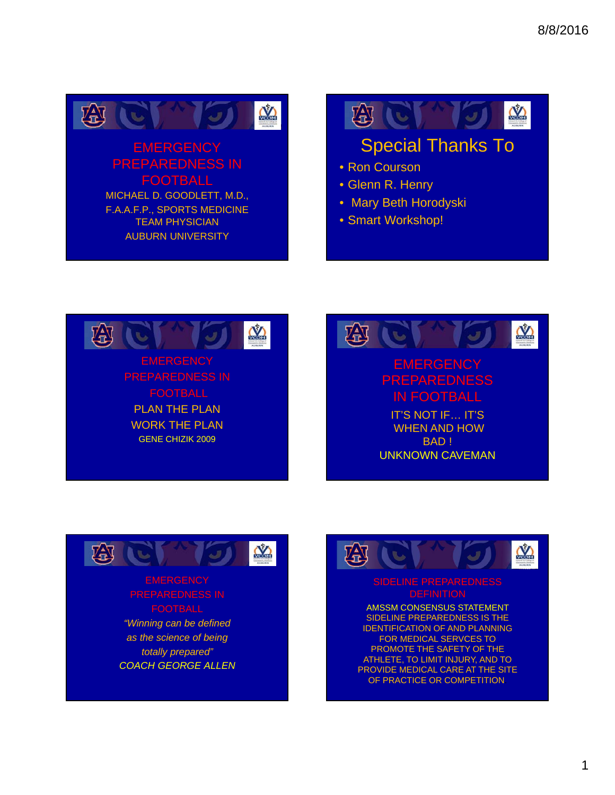

## **EMERGENCY** PREPAREDNESS IN FOOTBALL MICHAEL D. GOODLETT, M.D.,

F.A.A.F.P., SPORTS MEDICINE TEAM PHYSICIAN AUBURN UNIVERSITY

田に **COM** 

# Special Thanks To

- Ron Courson
- Glenn R. Henry
- Mary Beth Horodyski
- Smart Workshop!







## **EMERGENCY** FOOTBALL

*"Winning can be defined as the science of being totally prepared" COACH GEORGE ALLEN*



# SIDELINE PREPAREDNESS

AMSSM CONSENSUS STATEMENT SIDELINE PREPAREDNESS IS THE IDENTIFICATION OF AND PLANNING FOR MEDICAL SERVCES TO PROMOTE THE SAFETY OF THE ATHLETE, TO LIMIT INJURY, AND TO PROVIDE MEDICAL CARE AT THE SITE OF PRACTICE OR COMPETITION.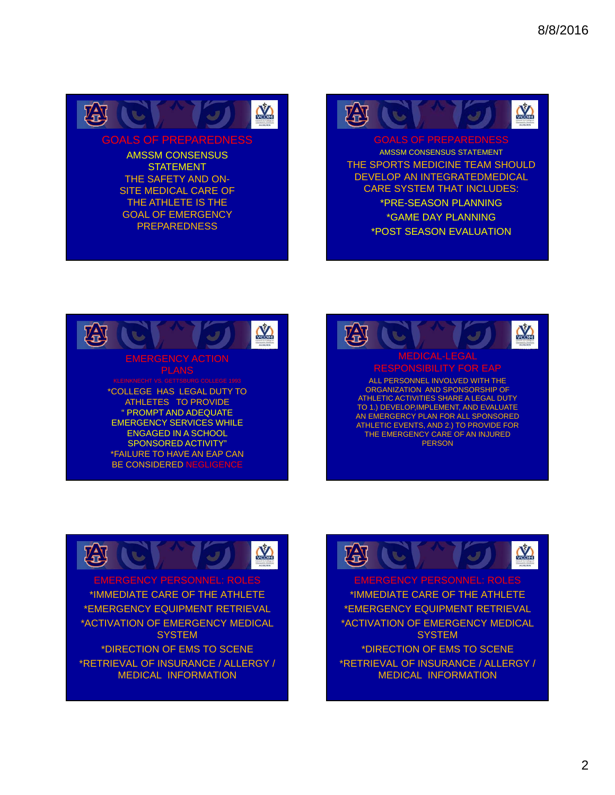

GOALS OF PREPAREDNESS

AMSSM CONSENSUS **STATEMENT** THE SAFETY AND ON-SITE MEDICAL CARE OF THE ATHLETE IS THE GOAL OF EMERGENCY PREPAREDNESS

涵  $\sum_{n=1}^{\infty}$ 

AMSSM CONSENSUS STATEMENT THE SPORTS MEDICINE TEAM SHOULD DEVELOP AN INTEGRATEDMEDICAL CARE SYSTEM THAT INCLUDES: \*PRE-SEASON PLANNING \*GAME DAY PLANNING \*POST SEASON EVALUATION







EMERGENCY PERSONNEL: ROLES \*IMMEDIATE CARE OF THE ATHLETE \*EMERGENCY EQUIPMENT RETRIEVAL \*ACTIVATION OF EMERGENCY MEDICAL **SYSTEM** \*DIRECTION OF EMS TO SCENE \*RETRIEVAL OF INSURANCE / ALLERGY / MEDICAL INFORMATION



EMERGENCY PERSONNEL: ROLES \*IMMEDIATE CARE OF THE ATHLETE \*EMERGENCY EQUIPMENT RETRIEVAL \*ACTIVATION OF EMERGENCY MEDICAL **SYSTEM** \*DIRECTION OF EMS TO SCENE \*RETRIEVAL OF INSURANCE / ALLERGY / MEDICAL INFORMATION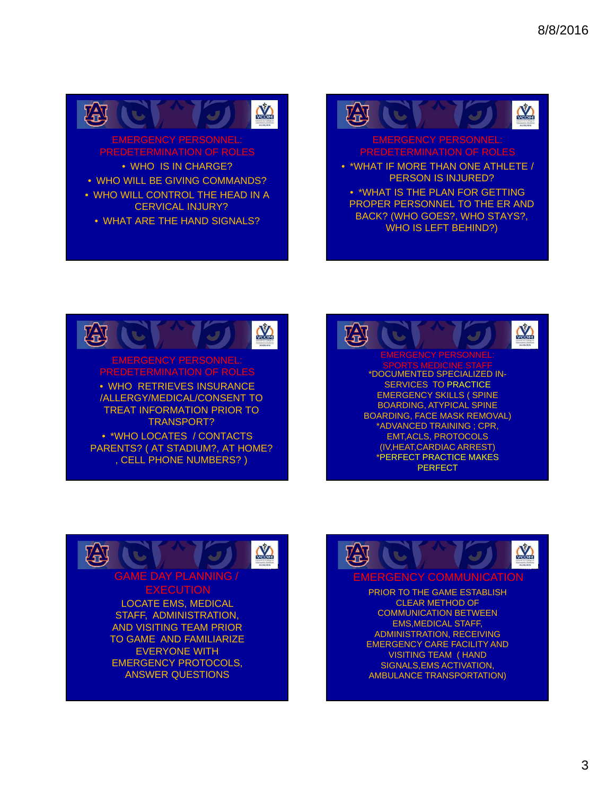

## EMERGENCY PERSONNEL: PREDETERMINATION OF ROLES

• WHO IS IN CHARGE?

- WHO WILL BE GIVING COMMANDS?
- WHO WILL CONTROL THE HEAD IN A CERVICAL INJURY?
	- WHAT ARE THE HAND SIGNALS?

## 涵 **NA**

# MERGENCY PERSONNEL

- \*WHAT IF MORE THAN ONE ATHLETE / PERSON IS INJURED?
	- \*WHAT IS THE PLAN FOR GETTING PROPER PERSONNEL TO THE ER AND BACK? (WHO GOES?, WHO STAYS?, WHO IS LEFT BEHIND?)









PRIOR TO THE GAME ESTABLISH CLEAR METHOD OF COMMUNICATION BETWEEN EMS,MEDICAL STAFF, ADMINISTRATION, RECEIVING EMERGENCY CARE FACILITY AND VISITING TEAM ( HAND SIGNALS,EMS ACTIVATION, AMBULANCE TRANSPORTATION)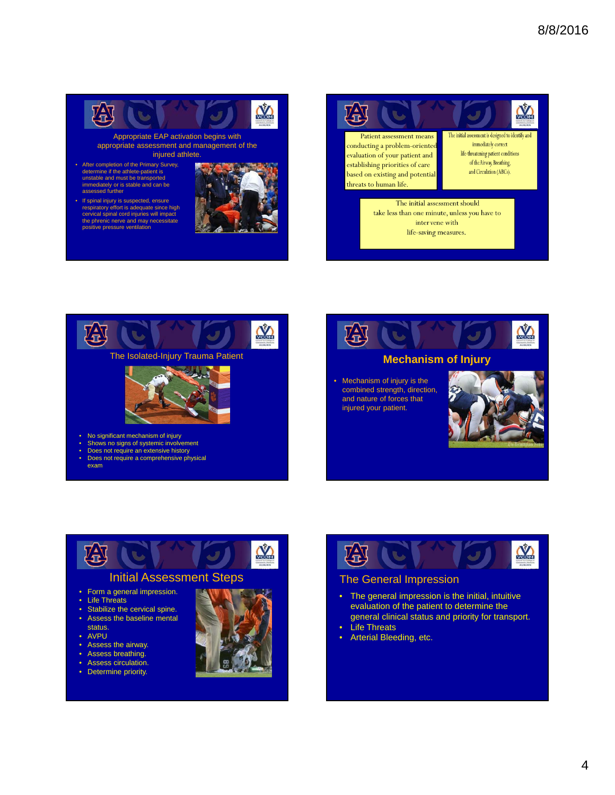

appropriate assessment and management of the injured athlete.

- After completion of the Primary Survey, determine if the athlete-patient is unstable and must be transported immediately or is stable and can be assessed further
- If spinal injury is suspected, ensure respiratory effort is adequate since high cervical spinal cord injuries will impact the phrenic nerve and may necessitate positive pressure ventilation











## • Form a general impression.

- 
- Life Threats
- Stabilize the cervical spine. • Assess the baseline mental
- status.
- AVPU
- Assess the airway.
- Assess breathing.
- Assess circulation.
- Determine priority.





## The General Impression

- The general impression is the initial, intuitive evaluation of the patient to determine the general clinical status and priority for transport.
- Life Threats
- Arterial Bleeding, etc.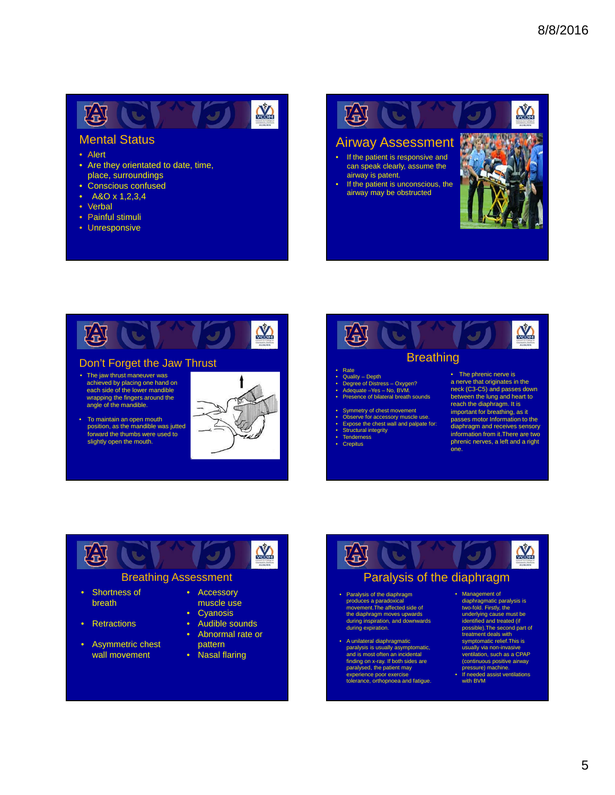#### 密心  $\mathbf{M}$  $\mathcal{L}$

## Mental Status

- Alert
- Are they orientated to date, time, place, surroundings
- Conscious confused
- A&O x 1,2,3,4
- Verbal
- Painful stimuli
- Unresponsive

图记 **NA** Airway Assessment If the patient is responsive and can speak clearly, assume the airway is patent. If the patient is unconscious, the airway may be obstructed



#### Don't Forget the Jaw Thrust

- The jaw thrust maneuver was achieved by placing one hand on each side of the lower mandible wrapping the fingers around the angle of the mandible.
- To maintain an open mouth position, as the mandible was jutted forward the thumbs were used to slightly open the mouth.





- Quality Depth
- Degree of Distress Oxygen? Adequate –Yes No, BVM.
- Presence of bilateral breath sounds
- Symmetry of chest movement
- 
- Observe for accessory muscle use. Expose the chest wall and palpate for: Structural integrity
- 
- **Tenderness**
- **Crepitus**

• The phrenic nerve is a nerve that originates in the neck (C3-C5) and passes down between the lung and heart to reach the diaphragm. It is important for breathing, as it passes motor Information to the diaphragm and receives sensory information from it.There are two phrenic nerves, a left and a right one.



#### Breathing Assessment

- Shortness of breath
- Retractions
- Asymmetric chest wall movement
- Accessory muscle use
- Cyanosis
- Audible sounds
- Abnormal rate or pattern
- Nasal flaring



## Paralysis of the diaphragm

- Paralysis of the diaphragm produces a parado movement.The affected side of the diaphragm moves upwards during inspiration, and downwards during expiration.
- A unilateral diaphragmatic paralysis is usually asymptomatic, and is most often an incidental finding on x-ray. If both sides are paralysed, the patient may experience poor exercise tolerance, orthopnoea and fatigue.
- Management of diaphragmatic paralysis is two-fold. Firstly, the underlying cause must be identified and treated (if possible).The second part of treatment deals with symptomatic relief. This is usually via non-invasive ventilation, such as a CPAP (continuous positive airway pressure) machine.
- If needed assist ventilations with BVM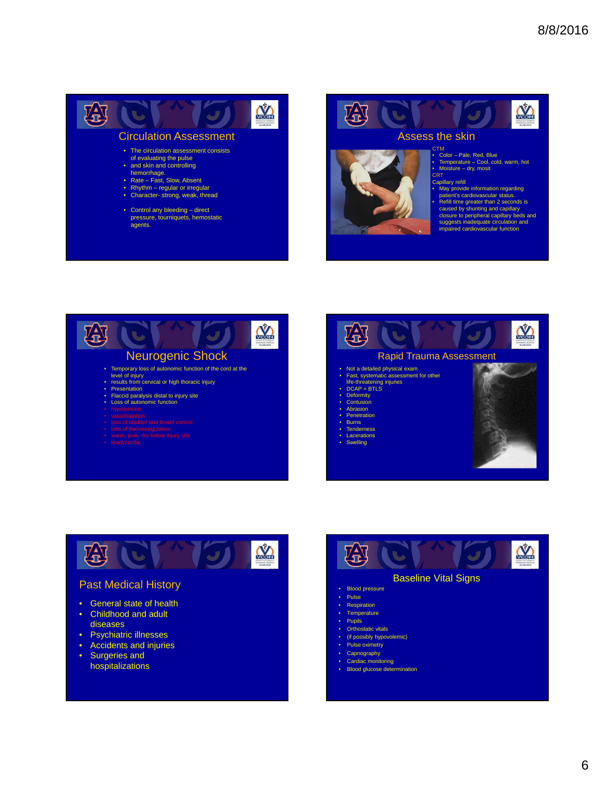

agents.

**COM** 幽 C  $\overline{\mathcal{L}}$ Assess the skin.



## CTM

• Color – Pale, Red, Blue • Temperature – Cool, cold, warm, hot • Moisture – dry, mosit CRT<sup>"</sup>

Capillary refill • May provide information regarding patient's cardiovascular status. • Refill time greater than 2 seconds is caused by shunting and capillary closure to peripheral capillary beds and suggests inadequate circulation and impaired cardiovascular function







#### Past Medical History

- General state of health
- Childhood and adult diseases
- Psychiatric illnesses
- Accidents and injuries
- Surgeries and hospitalizations



#### **Respiration**

- Temperature
- 
- Pupils
- Orthostatic vitals
- (if possibly hypovolemic)
- Pulse oximetry
- **Capnography**
- Cardiac monitoring
	- **Blood glucose determination**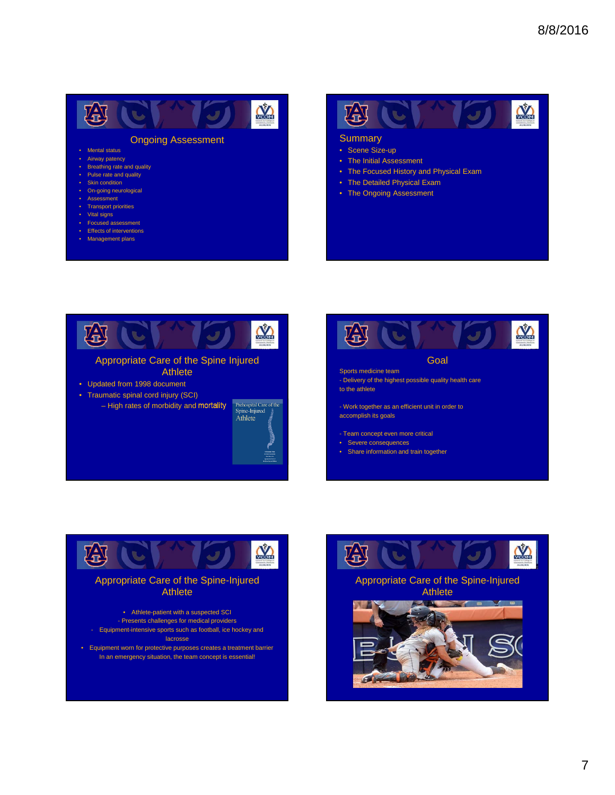#### **IC** 趣 **COM**

#### Ongoing Assessment

- Mental status
- Airway patency • Breathing rate and quality
- Pulse rate and quality
- **Skin condition**
- On-going neurological
- **Assessment**
- Transport priorities
- Vital signs
- Focused assessment
- Effects of interventions
- Management plans



#### **Summary**

- Scene Size-up
- The Initial Assessment
- The Focused History and Physical Exam
- The Detailed Physical Exam
- The Ongoing Assessment







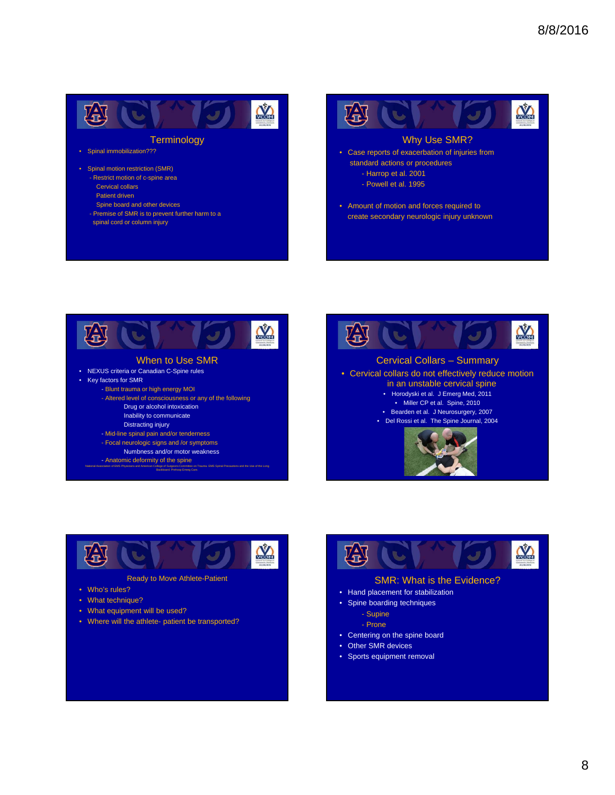

#### **Terminology**

- Spinal immobilization???
- Spinal motion restriction (SMR) - Restrict motion of c-spine area
	- Cervical collars
	- Patient driven
	- Spine board and other devices
	- Premise of SMR is to prevent further harm to a spinal cord or column injury









- Ready to Move Athlete-Patient
- Who's rules?
- What technique?
- What equipment will be used?
- Where will the athlete- patient be transported?



#### SMR: What is the Evidence?

- Hand placement for stabilization
- Spine boarding techniques
	- Supine
	- Prone
- Centering on the spine board
- Other SMR devices
- Sports equipment removal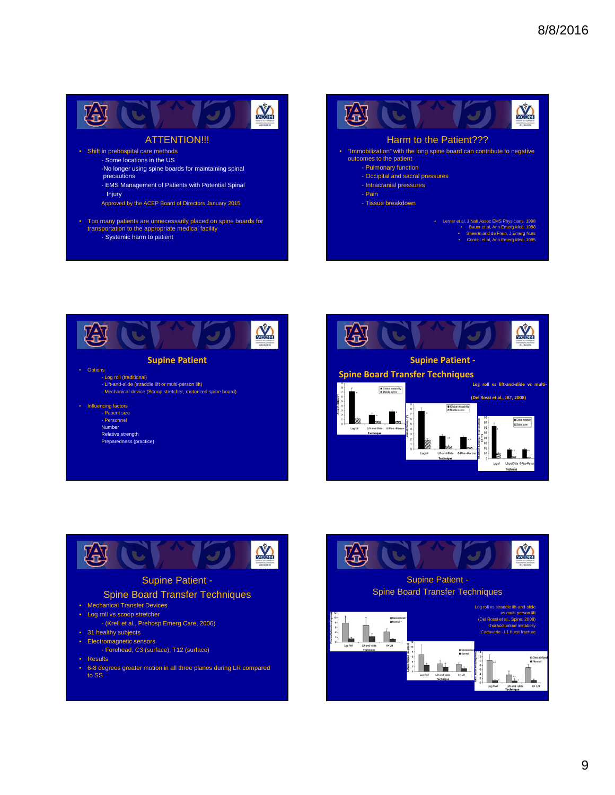

#### ATTENTION!!!

- Shift in prehospital care methods
	- Some locations in the US -No longer using spine boards for maintaining spinal
	- precautions
	- EMS Management of Patients with Potential Spinal
	- Injury
	- Approved by the ACEP Board of Directors January 2015
- Too many patients are unnecessarily placed on spine boards for transportation to the appropriate medical facility - Systemic harm to patient









#### Supine Patient -

#### Spine Board Transfer Techniques

- Mechanical Transfer Devices
- Log roll vs scoop stretcher
- (Krell et al., Prehosp Emerg Care, 2006)
- 31 healthy subjects
- Electromagnetic sensors
	- Forehead, C3 (surface), T12 (surface)
- Results
- 6-8 degrees greater motion in all three planes during LR compared to SS

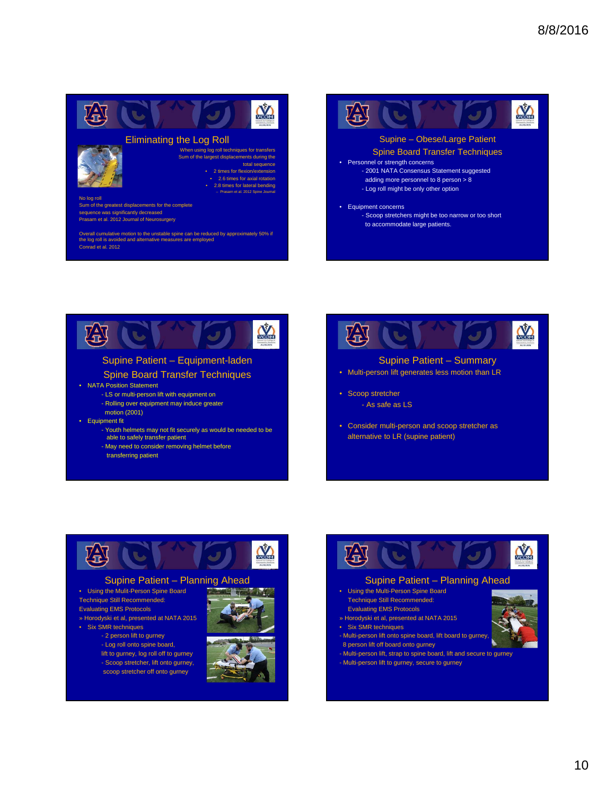







• Consider multi-person and scoop stretcher as alternative to LR (supine patient)



#### Supine Patient – Planning Ahead

- Using the Mulit-Person Spine Board Technique Still Recommended: Evaluating EMS Protocols » Horodyski et al, presented at NATA 2015
- Six SMR techniques - 2 person lift to gurney - Log roll onto spine board, lift to gurney, log roll off to gurney - Scoop stretcher, lift onto gurney, scoop stretcher off onto gurney







#### Supine Patient – Planning Ahead

- Using the Multi-Person Spine Board Technique Still Recommended:
- Evaluating EMS Protocols » Horodyski et al, presented at NATA 2015
- 
- Six SMR techniques
- Multi-person lift onto spine board, lift board to gurney, 8 person lift off board onto gurney
- 
- Multi-person lift, strap to spine board, lift and secure to gurney - Multi-person lift to gurney, secure to gurney
	-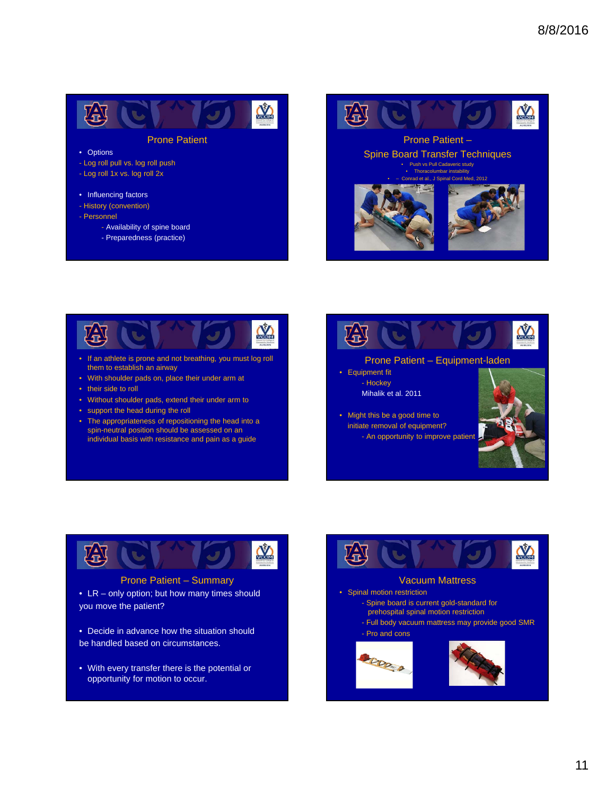

#### Prone Patient

#### • Options

- Log roll pull vs. log roll push - Log roll 1x vs. log roll 2x

#### • Influencing factors

- History (convention)
- Personnel
	- Availability of spine board
		- Preparedness (practice)





- If an athlete is prone and not breathing, you must log roll them to establish an airway
- With shoulder pads on, place their under arm at
- their side to roll
- Without shoulder pads, extend their under arm to
- support the head during the roll
- The appropriateness of repositioning the head into a spin-neutral position should be assessed on an individual basis with resistance and pain as a guide





Prone Patient – Summary

- LR only option; but how many times should you move the patient?
- Decide in advance how the situation should be handled based on circumstances.
- With every transfer there is the potential or opportunity for motion to occur.

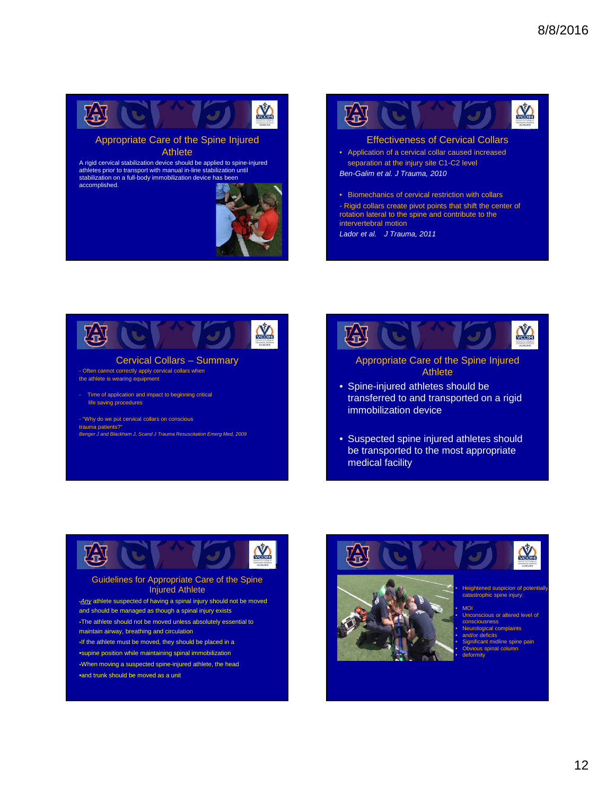



#### Effectiveness of Cervical Collars

- Application of a cervical collar caused increased separation at the injury site C1-C2 level *Ben-Galim et al. J Trauma, 2010*
- Biomechanics of cervical restriction with collars - Rigid collars create pivot points that shift the center of rotation lateral to the spine and contribute to the intervertebral motion

*Lador et al. J Trauma, 2011*





• Suspected spine injured athletes should be transported to the most appropriate medical facility



#### Guidelines for Appropriate Care of the Spine Injured Athlete

•*Any* athlete suspected of having a spinal injury should not be moved and should be managed as though a spinal injury exists

The athlete should not be moved unless absolutely essential to maintain airway, breathing and circulation

- If the athlete must be moved, they should be placed in a
- •supine position while maintaining spinal immobilization

When moving a suspected spine-injured athlete, the head •and trunk should be moved as a unit





Heightened suspicion of potential catastrophic spine injury:

• MOI Unconscious or altered level of consciousness • Neurological complaints • and/or deficits • Significant midline spine pain ious spinal colu • deformity